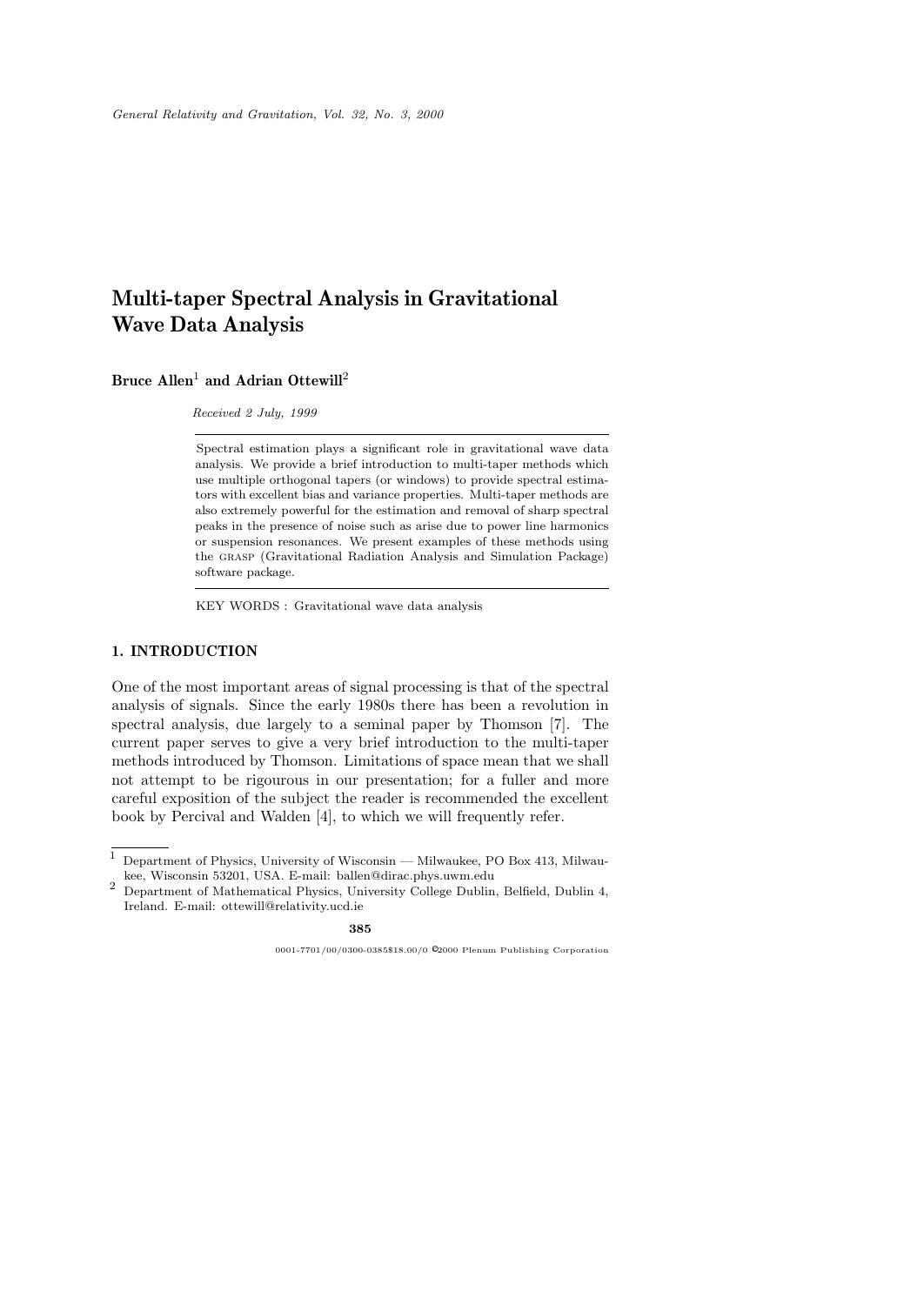# **Multi-taper Spectral Analysis in Gravitational Wave Data Analysis**

# **Bruce Allen**<sup>1</sup> **and Adrian Ottewill**<sup>2</sup>

Received 2 July, 1999

Spectral estimation plays a significant role in gravitational wave data analysis. We provide a brief introduction to multi-taper methods which use multiple orthogonal tapers (or windows) to provide spectral estimators with excellent bias and variance properties. Multi-taper methods are also extremely powerful for the estimation and removal of sharp spectral peaks in the presence of noise such as arise due to power line harmonics or suspension resonances. We present examples of these methods using the grasp (Gravitational Radiation Analysis and Simulation Package) software package.

KEY WORDS : Gravitational wave data analysis

# **1. INTRODUCTION**

One of the most important areas of signal processing is that of the spectral analysis of signals. Since the early 1980s there has been a revolution in spectral analysis, due largely to a seminal paper by Thomson [7]. The current paper serves to give a very brief introduction to the multi-taper methods introduced by Thomson. Limitations of space mean that we shall not attempt to be rigourous in our presentation; for a fuller and more careful exposition of the subject the reader is recommended the excellent book by Percival and Walden [4], to which we will frequently refer.

<sup>1</sup> Department of Physics, University of Wisconsin — Milwaukee, PO Box 413, Milwau-

<sup>2</sup> Department of Mathematical Physics, University College Dublin, Belfield, Dublin 4, Ireland. E-mail: ottewill@relativity.ucd.ie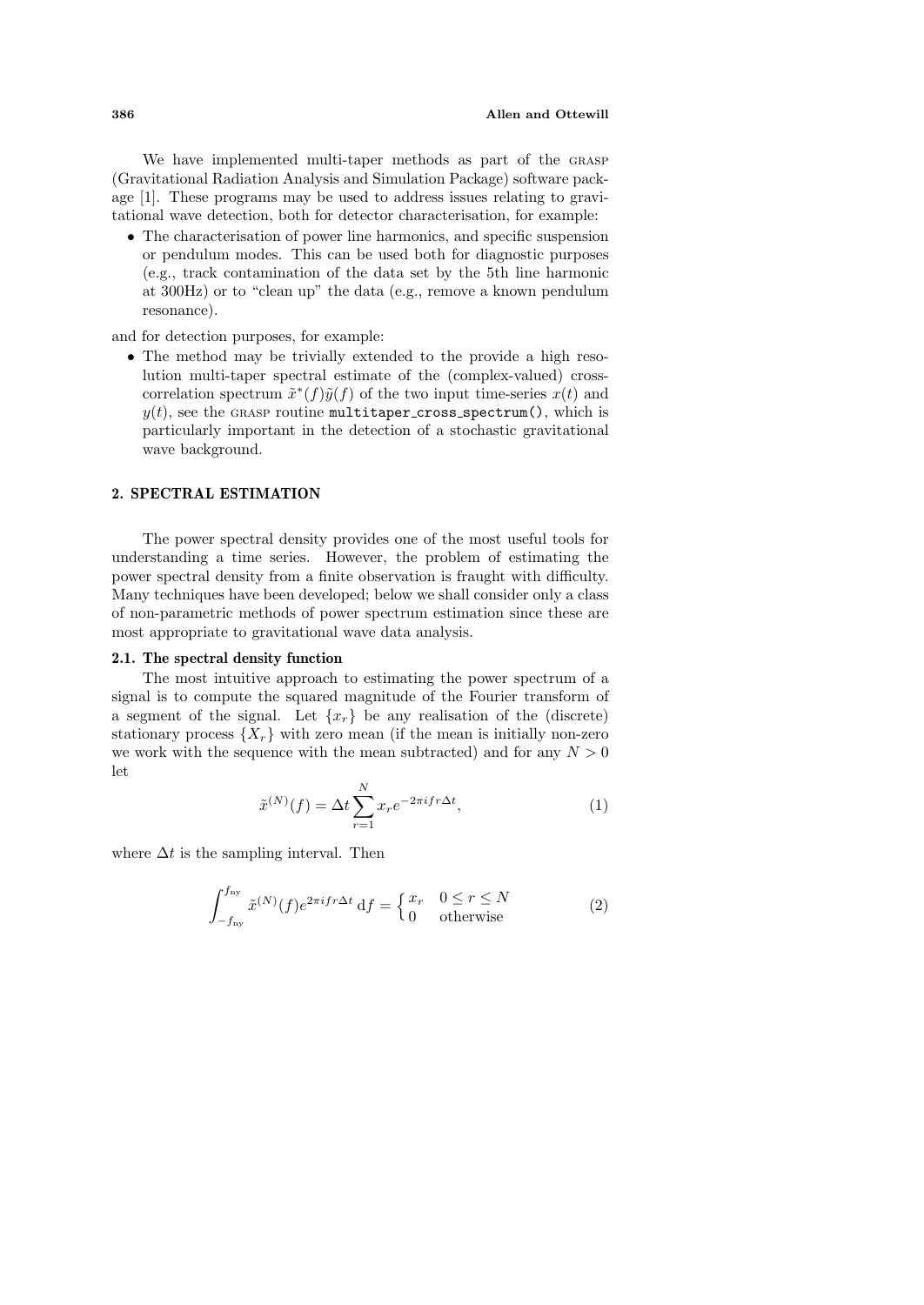We have implemented multi-taper methods as part of the grasp (Gravitational Radiation Analysis and Simulation Package) software package [1]. These programs may be used to address issues relating to gravitational wave detection, both for detector characterisation, for example:

• The characterisation of power line harmonics, and specific suspension or pendulum modes. This can be used both for diagnostic purposes (e.g., track contamination of the data set by the 5th line harmonic at 300Hz) or to "clean up" the data (e.g., remove a known pendulum resonance).

and for detection purposes, for example:

• The method may be trivially extended to the provide a high resolution multi-taper spectral estimate of the (complex-valued) crosscorrelation spectrum  $\tilde{x}^*(f)\tilde{y}(f)$  of the two input time-series  $x(t)$  and  $y(t)$ , see the GRASP routine multitaper cross spectrum(), which is particularly important in the detection of a stochastic gravitational wave background.

# **2. SPECTRAL ESTIMATION**

The power spectral density provides one of the most useful tools for understanding a time series. However, the problem of estimating the power spectral density from a finite observation is fraught with difficulty. Many techniques have been developed; below we shall consider only a class of non-parametric methods of power spectrum estimation since these are most appropriate to gravitational wave data analysis.

#### **2.1. The spectral density function**

The most intuitive approach to estimating the power spectrum of a signal is to compute the squared magnitude of the Fourier transform of a segment of the signal. Let  $\{x_r\}$  be any realisation of the (discrete) stationary process  $\{X_r\}$  with zero mean (if the mean is initially non-zero we work with the sequence with the mean subtracted) and for any  $N > 0$ let

$$
\tilde{x}^{(N)}(f) = \Delta t \sum_{r=1}^{N} x_r e^{-2\pi i f r \Delta t},
$$
\n(1)

where  $\Delta t$  is the sampling interval. Then

$$
\int_{-f_{\rm ny}}^{f_{\rm ny}} \tilde{x}^{(N)}(f) e^{2\pi i f r \Delta t} \, \mathrm{d}f = \begin{cases} x_r & 0 \le r \le N \\ 0 & \text{otherwise} \end{cases} \tag{2}
$$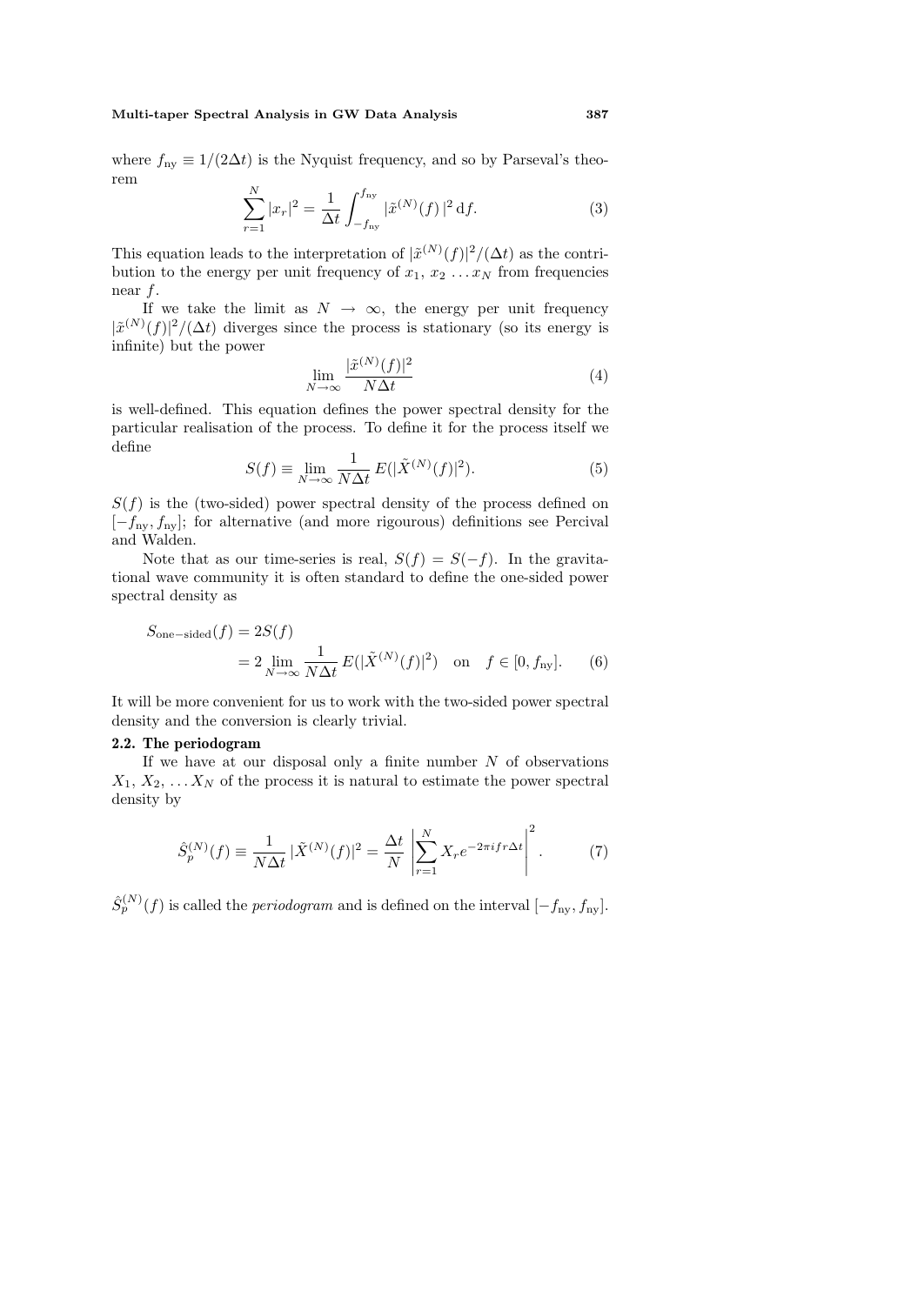### **Multi-taper Spectral Analysis in GW Data Analysis 387**

where  $f_{\text{nv}} \equiv 1/(2\Delta t)$  is the Nyquist frequency, and so by Parseval's theorem

$$
\sum_{r=1}^{N} |x_r|^2 = \frac{1}{\Delta t} \int_{-f_{\text{ny}}}^{f_{\text{ny}}} |\tilde{x}^{(N)}(f)|^2 \, \mathrm{d}f. \tag{3}
$$

This equation leads to the interpretation of  $|\tilde{x}^{(N)}(f)|^2/(\Delta t)$  as the contribution to the energy per unit frequency of  $x_1, x_2, \ldots, x_N$  from frequencies near f.

If we take the limit as  $N \to \infty$ , the energy per unit frequency  $|\tilde{x}^{(N)}(f)|^2/(\Delta t)$  diverges since the process is stationary (so its energy is infinite) but the power

$$
\lim_{N \to \infty} \frac{|\tilde{x}^{(N)}(f)|^2}{N\Delta t} \tag{4}
$$

is well-defined. This equation defines the power spectral density for the particular realisation of the process. To define it for the process itself we define

$$
S(f) \equiv \lim_{N \to \infty} \frac{1}{N \Delta t} E(|\tilde{X}^{(N)}(f)|^2). \tag{5}
$$

 $S(f)$  is the (two-sided) power spectral density of the process defined on  $[-f_{\text{nv}}, f_{\text{nv}}]$ ; for alternative (and more rigourous) definitions see Percival and Walden.

Note that as our time-series is real,  $S(f) = S(-f)$ . In the gravitational wave community it is often standard to define the one-sided power spectral density as

$$
S_{\text{one-sided}}(f) = 2S(f)
$$
  
=  $2 \lim_{N \to \infty} \frac{1}{N\Delta t} E(|\tilde{X}^{(N)}(f)|^2)$  on  $f \in [0, f_{\text{ny}}].$  (6)

It will be more convenient for us to work with the two-sided power spectral density and the conversion is clearly trivial.

#### **2.2. The periodogram**

If we have at our disposal only a finite number  $N$  of observations  $X_1, X_2, \ldots X_N$  of the process it is natural to estimate the power spectral density by

$$
\hat{S}_p^{(N)}(f) \equiv \frac{1}{N\Delta t} \, |\tilde{X}^{(N)}(f)|^2 = \frac{\Delta t}{N} \left| \sum_{r=1}^N X_r e^{-2\pi i f r \Delta t} \right|^2. \tag{7}
$$

 $\hat{S}_n^{(N)}(f)$  is called the *periodogram* and is defined on the interval  $[-f_{\text{nv}}, f_{\text{nv}}]$ .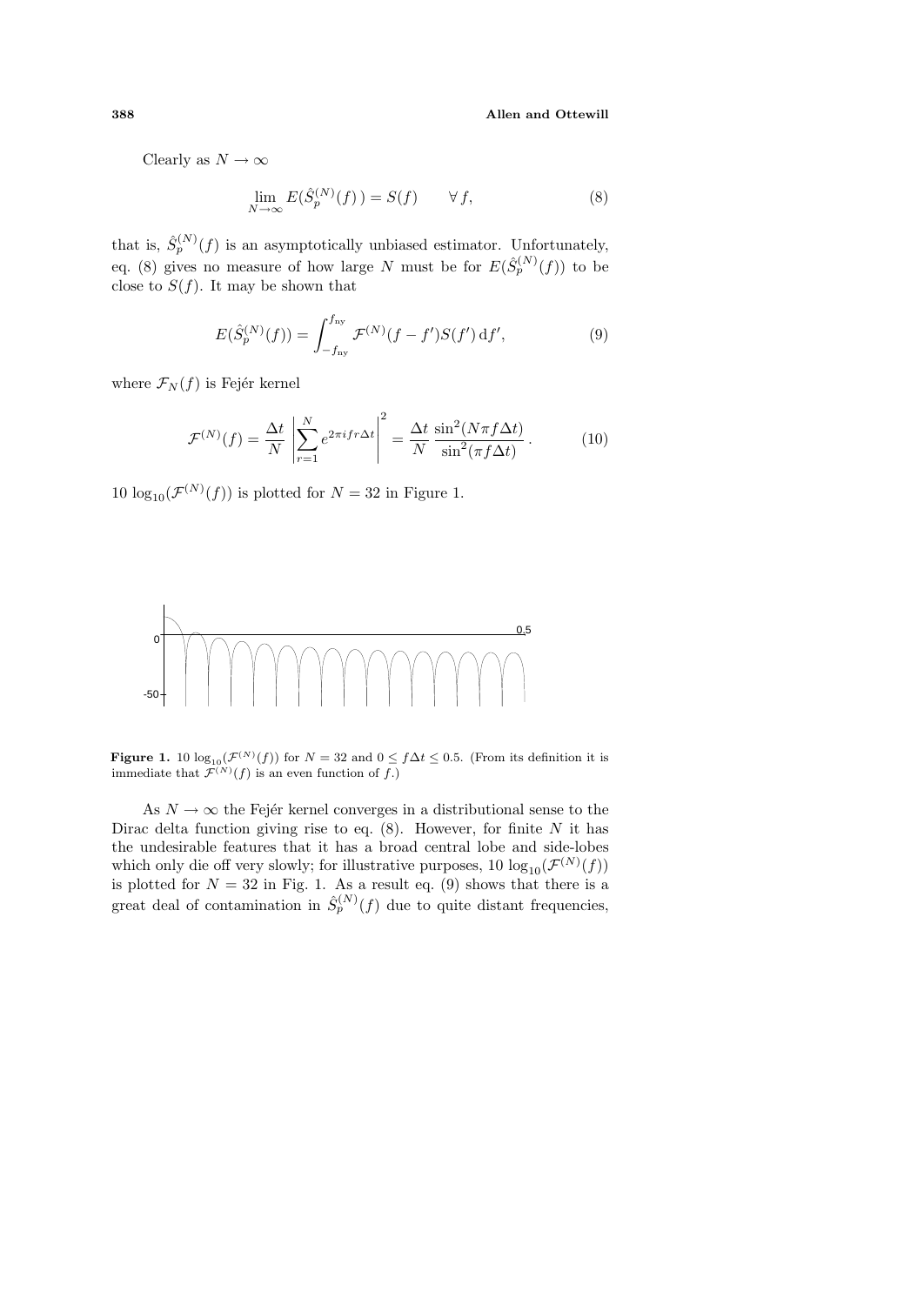**388 Allen and Ottewill**

Clearly as  $N \to \infty$ 

$$
\lim_{N \to \infty} E(\hat{S}_p^{(N)}(f)) = S(f) \qquad \forall f,
$$
\n(8)

that is,  $\hat{S}_p^{(N)}(f)$  is an asymptotically unbiased estimator. Unfortunately, eq. (8) gives no measure of how large N must be for  $E(\hat{S}_p^{(N)}(f))$  to be close to  $S(f)$ . It may be shown that

$$
E(\hat{S}_p^{(N)}(f)) = \int_{-f_{\text{ny}}}^{f_{\text{ny}}} \mathcal{F}^{(N)}(f - f')S(f') \,\mathrm{d}f',\tag{9}
$$

where  $\mathcal{F}_N(f)$  is Fejér kernel

$$
\mathcal{F}^{(N)}(f) = \frac{\Delta t}{N} \left| \sum_{r=1}^{N} e^{2\pi i f r \Delta t} \right|^2 = \frac{\Delta t}{N} \frac{\sin^2(N\pi f \Delta t)}{\sin^2(\pi f \Delta t)}.
$$
 (10)

10  $\log_{10}(\mathcal{F}^{(N)}(f))$  is plotted for  $N = 32$  in Figure 1.



**Figure 1.** 10  $\log_{10}(\mathcal{F}^{(N)}(f))$  for  $N = 32$  and  $0 \le f \Delta t \le 0.5$ . (From its definition it is immediate that  $\mathcal{F}^{(N)}(f)$  is an even function of f.)

As  $N \to \infty$  the Fejer kernel converges in a distributional sense to the Dirac delta function giving rise to eq.  $(8)$ . However, for finite N it has the undesirable features that it has a broad central lobe and side-lobes which only die off very slowly; for illustrative purposes, 10  $\log_{10}(\mathcal{F}^{(N)}(f))$ is plotted for  $N = 32$  in Fig. 1. As a result eq. (9) shows that there is a great deal of contamination in  $\hat{S}_p^{(N)}(f)$  due to quite distant frequencies,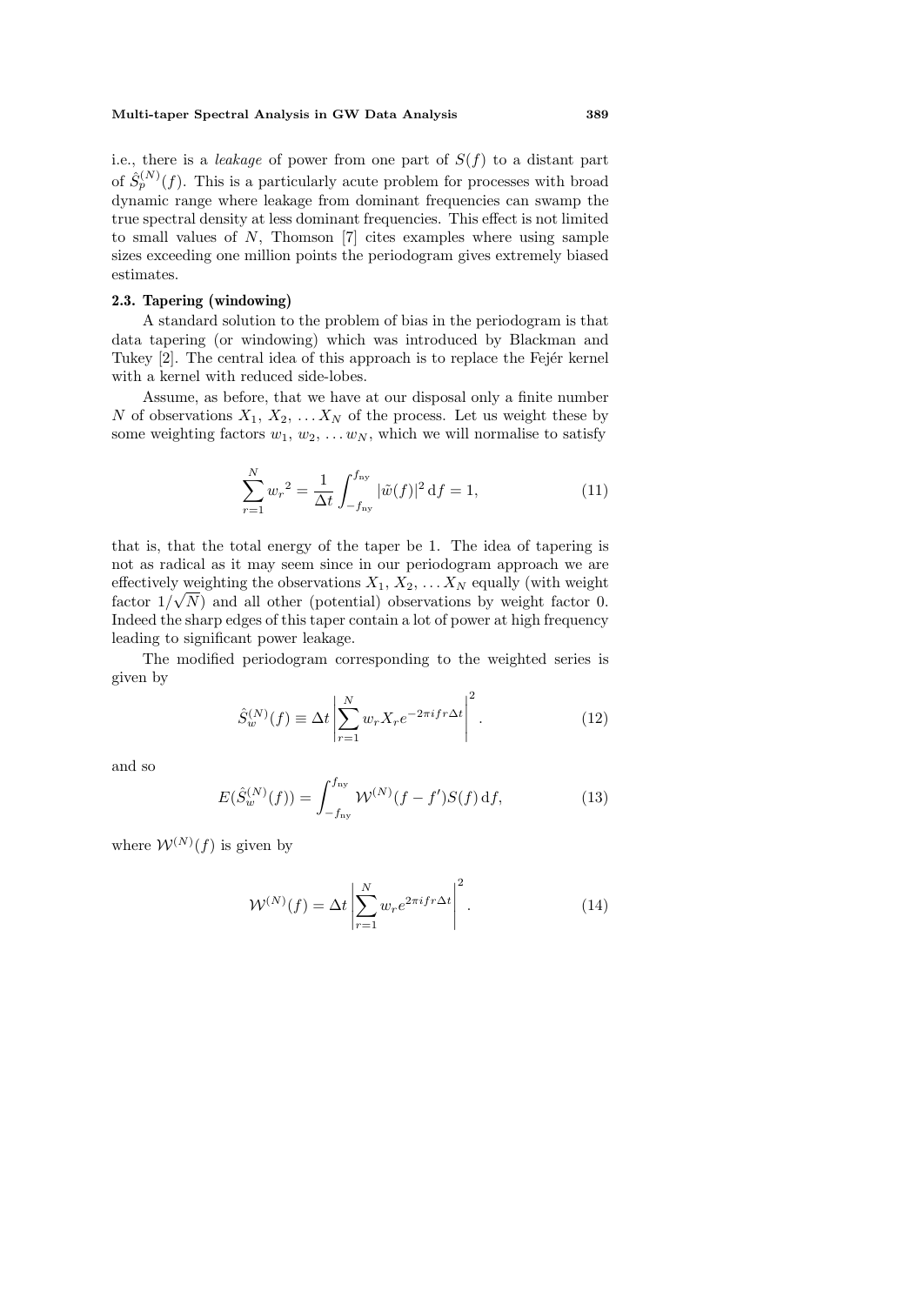#### **Multi-taper Spectral Analysis in GW Data Analysis 389**

i.e., there is a *leakage* of power from one part of  $S(f)$  to a distant part of  $\hat{S}_n^{(N)}(f)$ . This is a particularly acute problem for processes with broad dynamic range where leakage from dominant frequencies can swamp the true spectral density at less dominant frequencies. This effect is not limited to small values of N, Thomson [7] cites examples where using sample sizes exceeding one million points the periodogram gives extremely biased estimates.

# **2.3. Tapering (windowing)**

A standard solution to the problem of bias in the periodogram is that data tapering (or windowing) which was introduced by Blackman and Tukey [2]. The central idea of this approach is to replace the Fejér kernel with a kernel with reduced side-lobes.

Assume, as before, that we have at our disposal only a finite number N of observations  $X_1, X_2, \ldots X_N$  of the process. Let us weight these by some weighting factors  $w_1, w_2, \ldots w_N$ , which we will normalise to satisfy

$$
\sum_{r=1}^{N} w_r^2 = \frac{1}{\Delta t} \int_{-f_{\text{ny}}}^{f_{\text{ny}}} |\tilde{w}(f)|^2 \, \mathrm{d}f = 1,\tag{11}
$$

that is, that the total energy of the taper be 1. The idea of tapering is not as radical as it may seem since in our periodogram approach we are effectively weighting the observations  $X_1, X_2, \ldots X_N$  equally (with weight) factor  $1/\sqrt{N}$  and all other (potential) observations by weight factor 0. Indeed the sharp edges of this taper contain a lot of power at high frequency leading to significant power leakage.

The modified periodogram corresponding to the weighted series is given by

$$
\hat{S}_w^{(N)}(f) \equiv \Delta t \left| \sum_{r=1}^N w_r X_r e^{-2\pi i f r \Delta t} \right|^2.
$$
\n(12)

and so

$$
E(\hat{S}_w^{(N)}(f)) = \int_{-f_{\text{ny}}}^{f_{\text{ny}}} \mathcal{W}^{(N)}(f - f')S(f) \, df,\tag{13}
$$

where  $W^{(N)}(f)$  is given by

$$
\mathcal{W}^{(N)}(f) = \Delta t \left| \sum_{r=1}^{N} w_r e^{2\pi i f r \Delta t} \right|^2.
$$
 (14)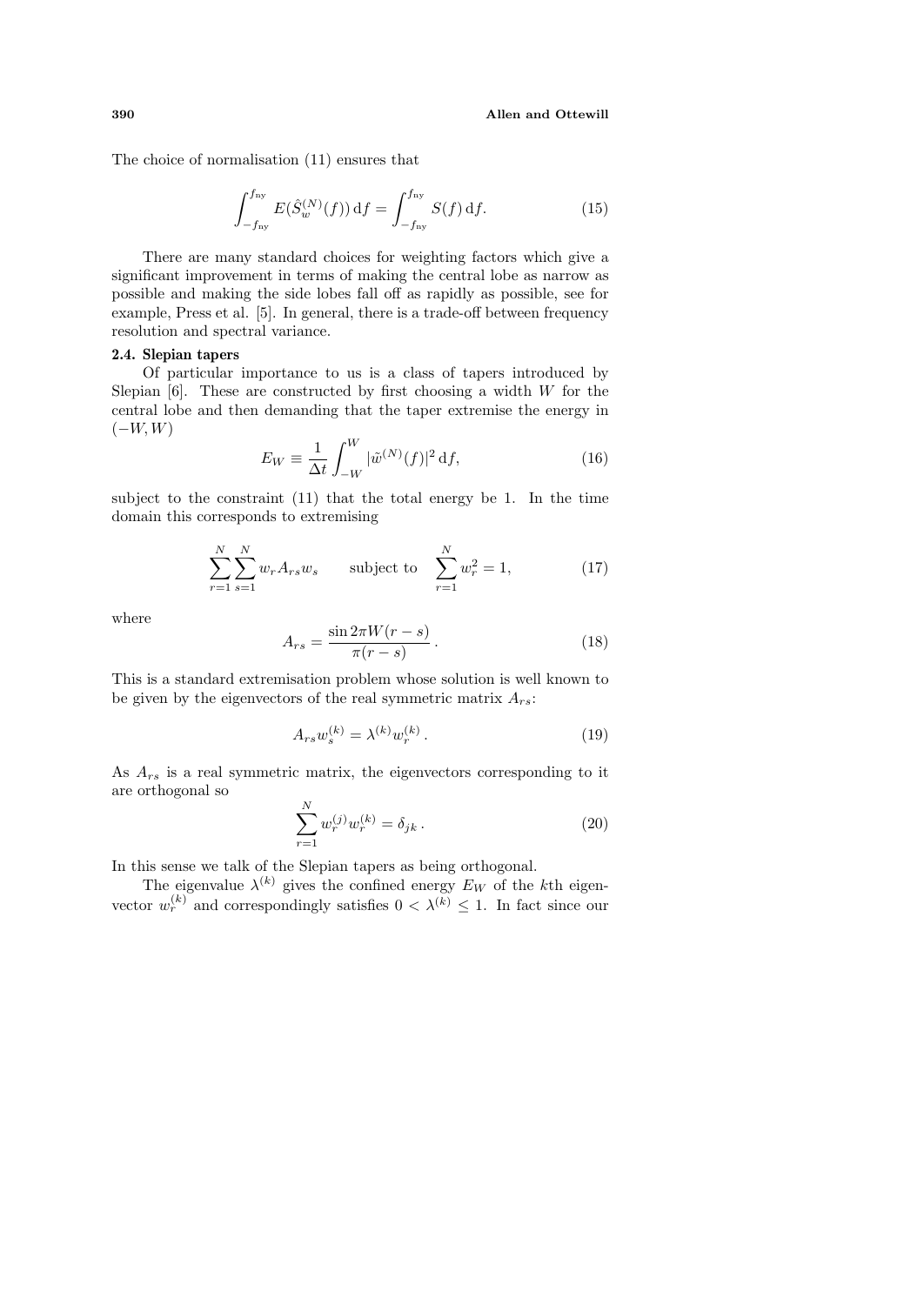The choice of normalisation (11) ensures that

$$
\int_{-f_{\rm ny}}^{f_{\rm ny}} E(\hat{S}_w^{(N)}(f)) \, \mathrm{d}f = \int_{-f_{\rm ny}}^{f_{\rm ny}} S(f) \, \mathrm{d}f. \tag{15}
$$

There are many standard choices for weighting factors which give a significant improvement in terms of making the central lobe as narrow as possible and making the side lobes fall off as rapidly as possible, see for example, Press et al. [5]. In general, there is a trade-off between frequency resolution and spectral variance.

# **2.4. Slepian tapers**

Of particular importance to us is a class of tapers introduced by Slepian  $[6]$ . These are constructed by first choosing a width W for the central lobe and then demanding that the taper extremise the energy in  $(-W, W)$ 

$$
E_W \equiv \frac{1}{\Delta t} \int_{-W}^{W} |\tilde{w}^{(N)}(f)|^2 \, \mathrm{d}f,\tag{16}
$$

subject to the constraint (11) that the total energy be 1. In the time domain this corresponds to extremising

$$
\sum_{r=1}^{N} \sum_{s=1}^{N} w_r A_{rs} w_s \qquad \text{subject to} \quad \sum_{r=1}^{N} w_r^2 = 1,\tag{17}
$$

where

$$
A_{rs} = \frac{\sin 2\pi W(r - s)}{\pi (r - s)}.
$$
\n(18)

This is a standard extremisation problem whose solution is well known to be given by the eigenvectors of the real symmetric matrix  $A_{rs}$ :

$$
A_{rs}w_s^{(k)} = \lambda^{(k)}w_r^{(k)}.
$$
\n(19)

As  $A_{rs}$  is a real symmetric matrix, the eigenvectors corresponding to it are orthogonal so

$$
\sum_{r=1}^{N} w_r^{(j)} w_r^{(k)} = \delta_{jk} . \tag{20}
$$

In this sense we talk of the Slepian tapers as being orthogonal.

The eigenvalue  $\lambda^{(k)}$  gives the confined energy  $E_W$  of the kth eigenvector  $w_r^{(k)}$  and correspondingly satisfies  $0 < \lambda^{(k)} \leq 1$ . In fact since our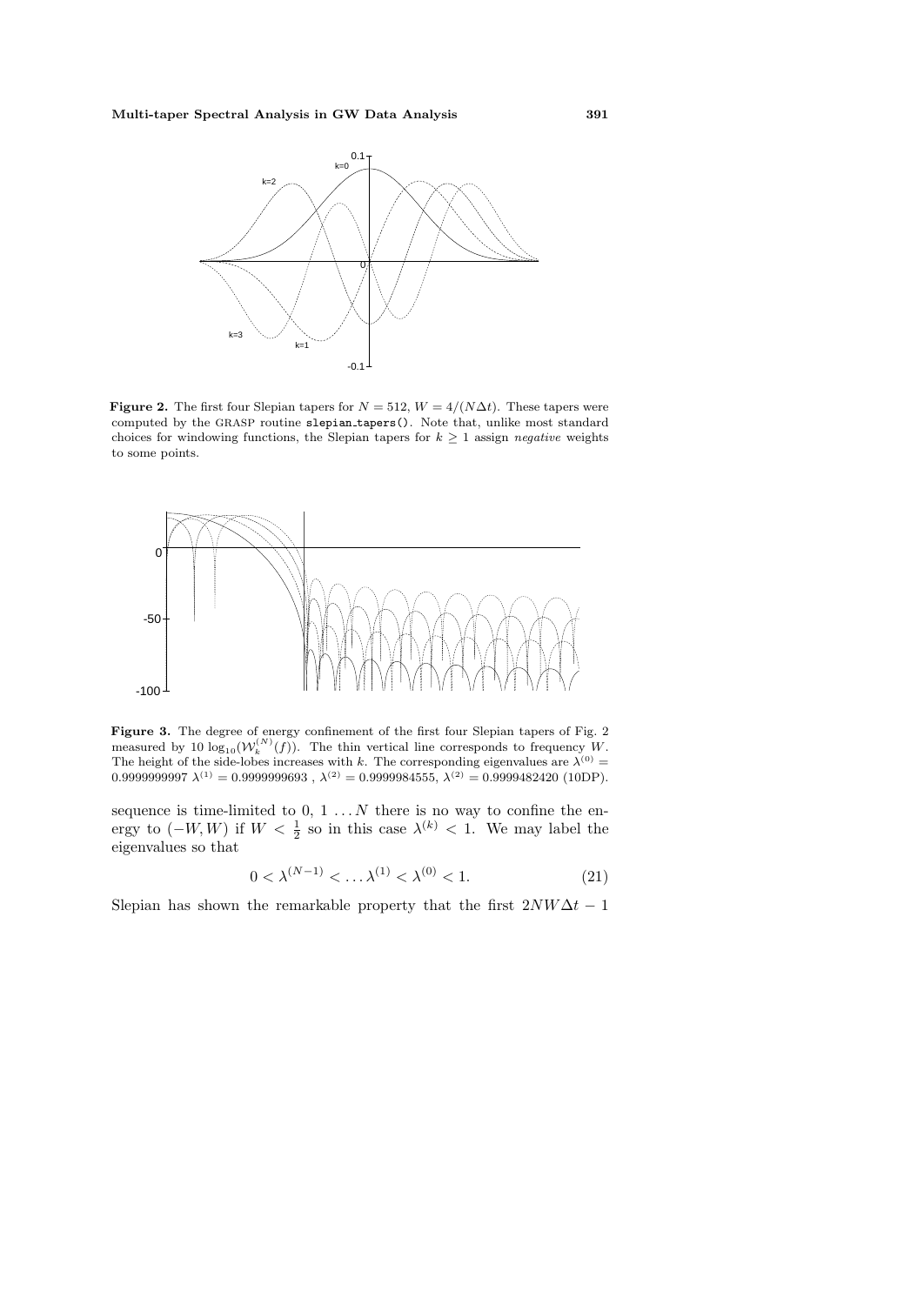

**Figure 2.** The first four Slepian tapers for  $N = 512$ ,  $W = 4/(N\Delta t)$ . These tapers were computed by the GRASP routine slepian tapers(). Note that, unlike most standard choices for windowing functions, the Slepian tapers for  $k \geq 1$  assign negative weights to some points.



Figure 3. The degree of energy confinement of the first four Slepian tapers of Fig. 2 measured by 10  $\log_{10}(W_k^{(N)}(f))$ . The thin vertical line corresponds to frequency W. The height of the side-lobes increases with k. The corresponding eigenvalues are  $\lambda^{(0)}$  =  $0.9999999997 \lambda^{(1)} = 0.9999999693$ ,  $\lambda^{(2)} = 0.9999984555$ ,  $\lambda^{(2)} = 0.9999482420$  (10DP).

sequence is time-limited to  $0, 1...N$  there is no way to confine the energy to  $(-W, W)$  if  $W < \frac{1}{2}$  so in this case  $\lambda^{(k)} < 1$ . We may label the eigenvalues so that

$$
0 < \lambda^{(N-1)} < \dots \lambda^{(1)} < \lambda^{(0)} < 1. \tag{21}
$$

Slepian has shown the remarkable property that the first  $2NW\Delta t - 1$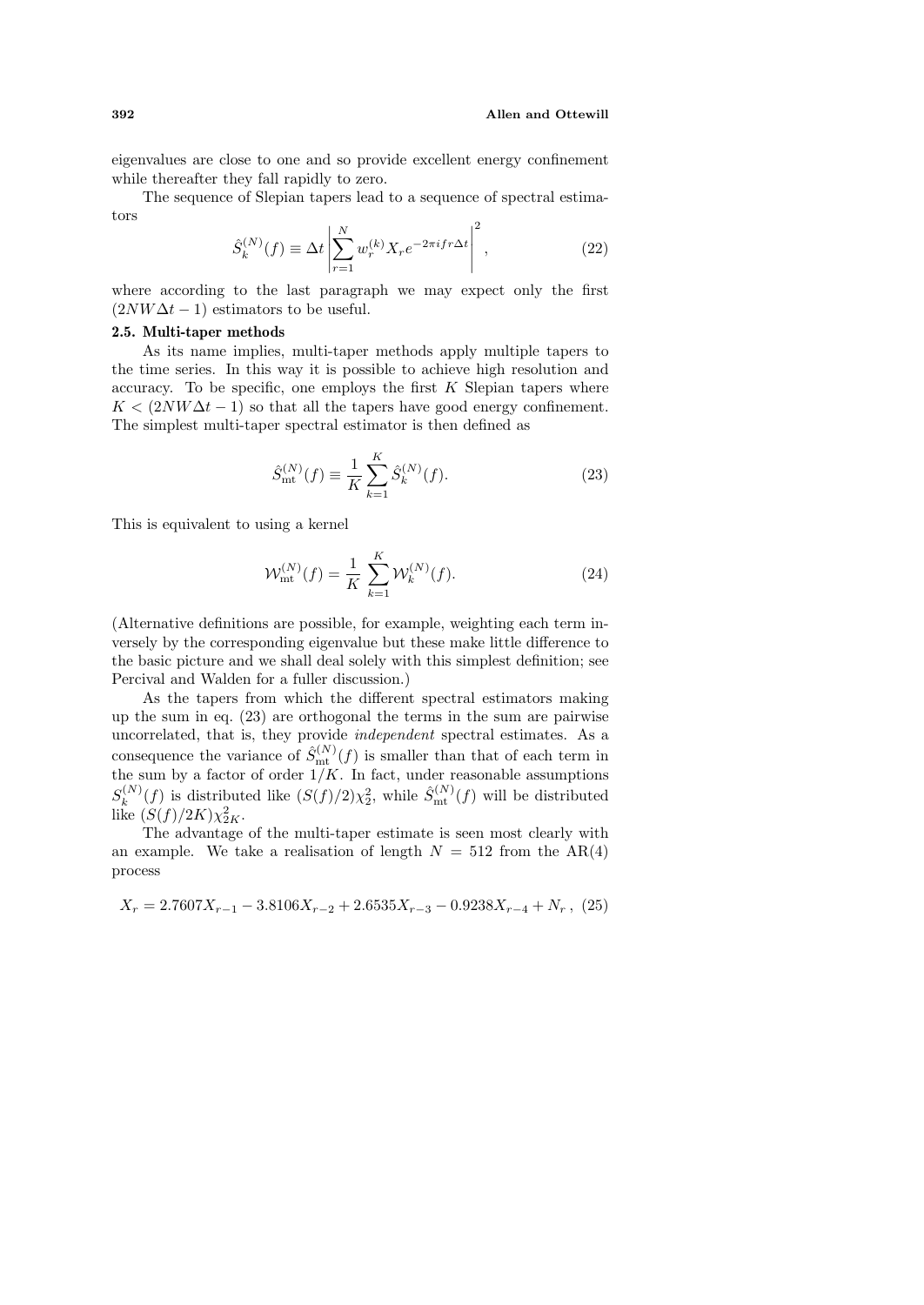eigenvalues are close to one and so provide excellent energy confinement while thereafter they fall rapidly to zero.

The sequence of Slepian tapers lead to a sequence of spectral estimators

$$
\hat{S}_k^{(N)}(f) \equiv \Delta t \left| \sum_{r=1}^N w_r^{(k)} X_r e^{-2\pi i f r \Delta t} \right|^2, \qquad (22)
$$

where according to the last paragraph we may expect only the first  $(2NW\Delta t - 1)$  estimators to be useful.

#### **2.5. Multi-taper methods**

As its name implies, multi-taper methods apply multiple tapers to the time series. In this way it is possible to achieve high resolution and accuracy. To be specific, one employs the first  $K$  Slepian tapers where  $K < (2NW\Delta t - 1)$  so that all the tapers have good energy confinement. The simplest multi-taper spectral estimator is then defined as

$$
\hat{S}_{\text{mt}}^{(N)}(f) \equiv \frac{1}{K} \sum_{k=1}^{K} \hat{S}_{k}^{(N)}(f). \tag{23}
$$

This is equivalent to using a kernel

$$
\mathcal{W}_{\rm mt}^{(N)}(f) = \frac{1}{K} \sum_{k=1}^{K} \mathcal{W}_k^{(N)}(f). \tag{24}
$$

(Alternative definitions are possible, for example, weighting each term inversely by the corresponding eigenvalue but these make little difference to the basic picture and we shall deal solely with this simplest definition; see Percival and Walden for a fuller discussion.)

As the tapers from which the different spectral estimators making up the sum in eq. (23) are orthogonal the terms in the sum are pairwise uncorrelated, that is, they provide independent spectral estimates. As a consequence the variance of  $\hat{S}_{mt}^{(N)}(f)$  is smaller than that of each term in the sum by a factor of order  $1/K$ . In fact, under reasonable assumptions  $S_k^{(N)}(f)$  is distributed like  $(S(f)/2)\chi_2^2$ , while  $\hat{S}_{\text{mt}}^{(N)}(f)$  will be distributed like  $(S(f)/2K)\chi_{2K}^2$ .

The advantage of the multi-taper estimate is seen most clearly with an example. We take a realisation of length  $N = 512$  from the AR(4) process

$$
X_r = 2.7607X_{r-1} - 3.8106X_{r-2} + 2.6535X_{r-3} - 0.9238X_{r-4} + N_r, (25)
$$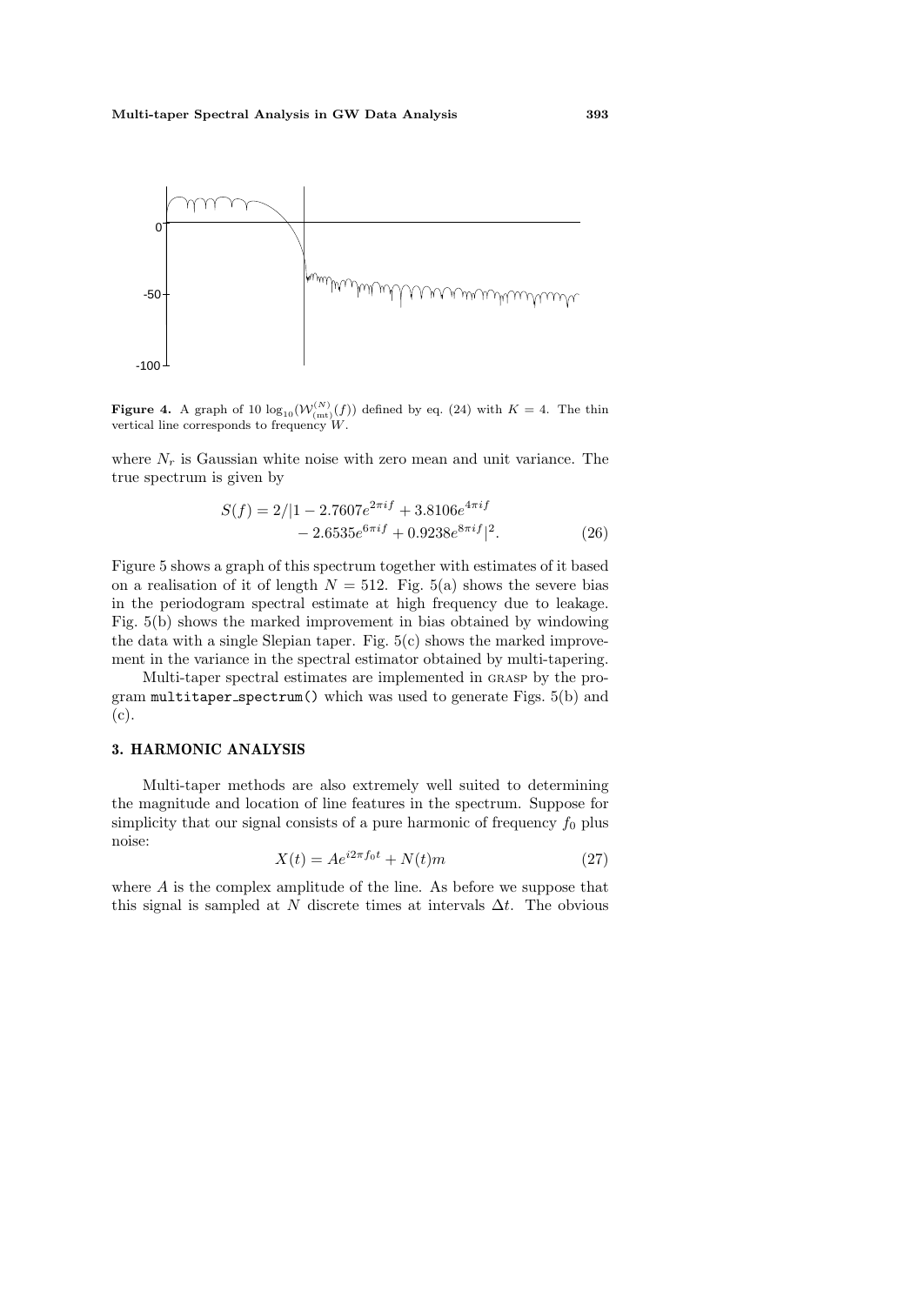

**Figure 4.** A graph of 10  $\log_{10}(W_{(mt)}^{(N)}(f))$  defined by eq. (24) with  $K = 4$ . The thin vertical line corresponds to frequency  $W$ .

where  $N_r$  is Gaussian white noise with zero mean and unit variance. The true spectrum is given by

$$
S(f) = 2/|1 - 2.7607e^{2\pi i f} + 3.8106e^{4\pi i f} - 2.6535e^{6\pi i f} + 0.9238e^{8\pi i f}|^2.
$$
 (26)

Figure 5 shows a graph of this spectrum together with estimates of it based on a realisation of it of length  $N = 512$ . Fig. 5(a) shows the severe bias in the periodogram spectral estimate at high frequency due to leakage. Fig. 5(b) shows the marked improvement in bias obtained by windowing the data with a single Slepian taper. Fig.  $5(c)$  shows the marked improvement in the variance in the spectral estimator obtained by multi-tapering.

Multi-taper spectral estimates are implemented in grasp by the program  $\text{multitaper\_spectrum}()$  which was used to generate Figs. 5(b) and (c).

# **3. HARMONIC ANALYSIS**

Multi-taper methods are also extremely well suited to determining the magnitude and location of line features in the spectrum. Suppose for simplicity that our signal consists of a pure harmonic of frequency  $f_0$  plus noise:

$$
X(t) = Ae^{i2\pi f_0 t} + N(t)m
$$
\n
$$
(27)
$$

where A is the complex amplitude of the line. As before we suppose that this signal is sampled at N discrete times at intervals  $\Delta t$ . The obvious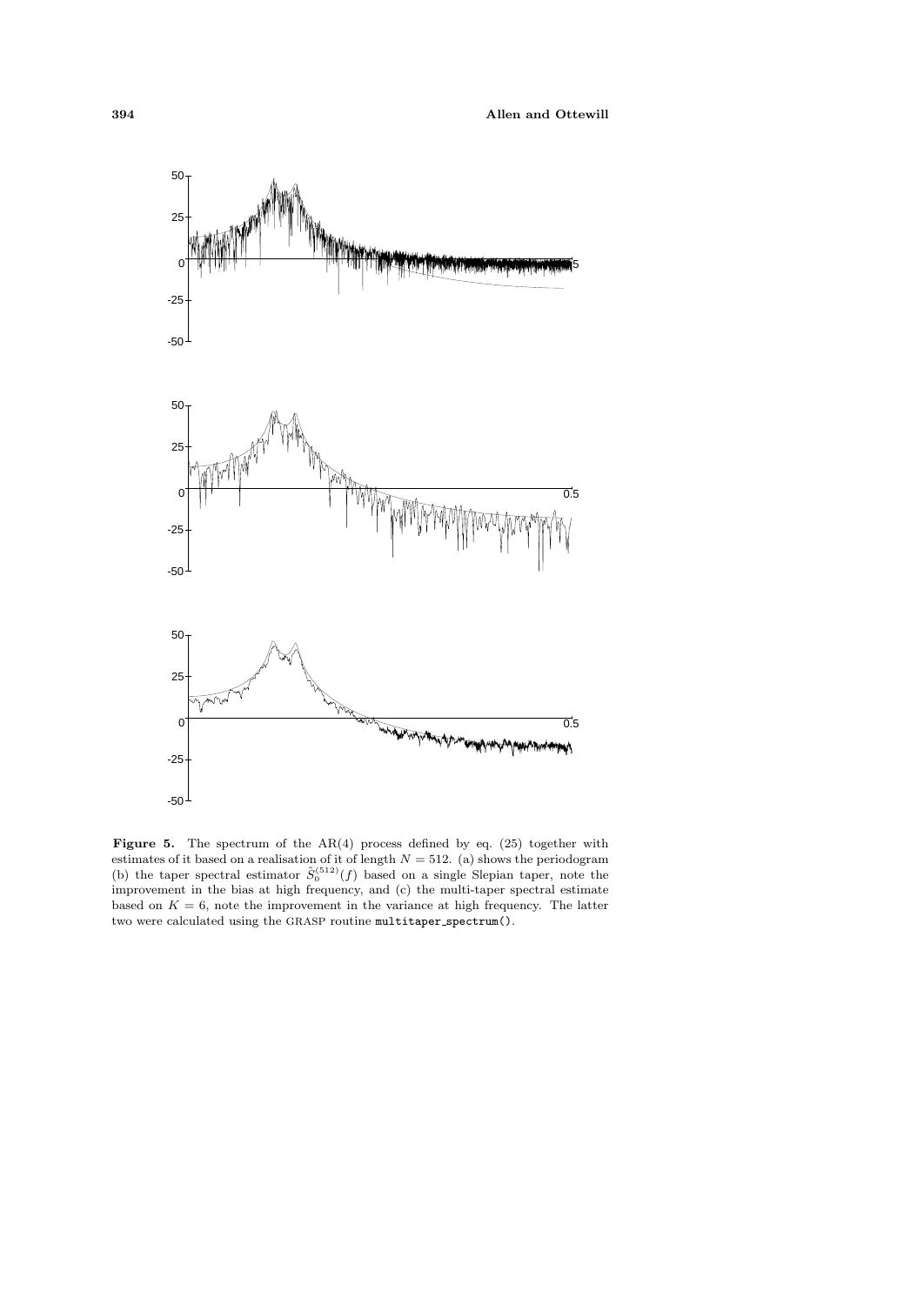

Figure 5. The spectrum of the AR(4) process defined by eq. (25) together with estimates of it based on a realisation of it of length  $N = 512$ . (a) shows the periodogram (b) the taper spectral estimator  $\hat{S}_0^{(512)}(f)$  based on a single Slepian taper, note the improvement in the bias at high frequency, and (c) the multi-taper spectral estimate based on  $K = 6$ , note the improvement in the variance at high frequency. The latter two were calculated using the GRASP routine multitaper spectrum().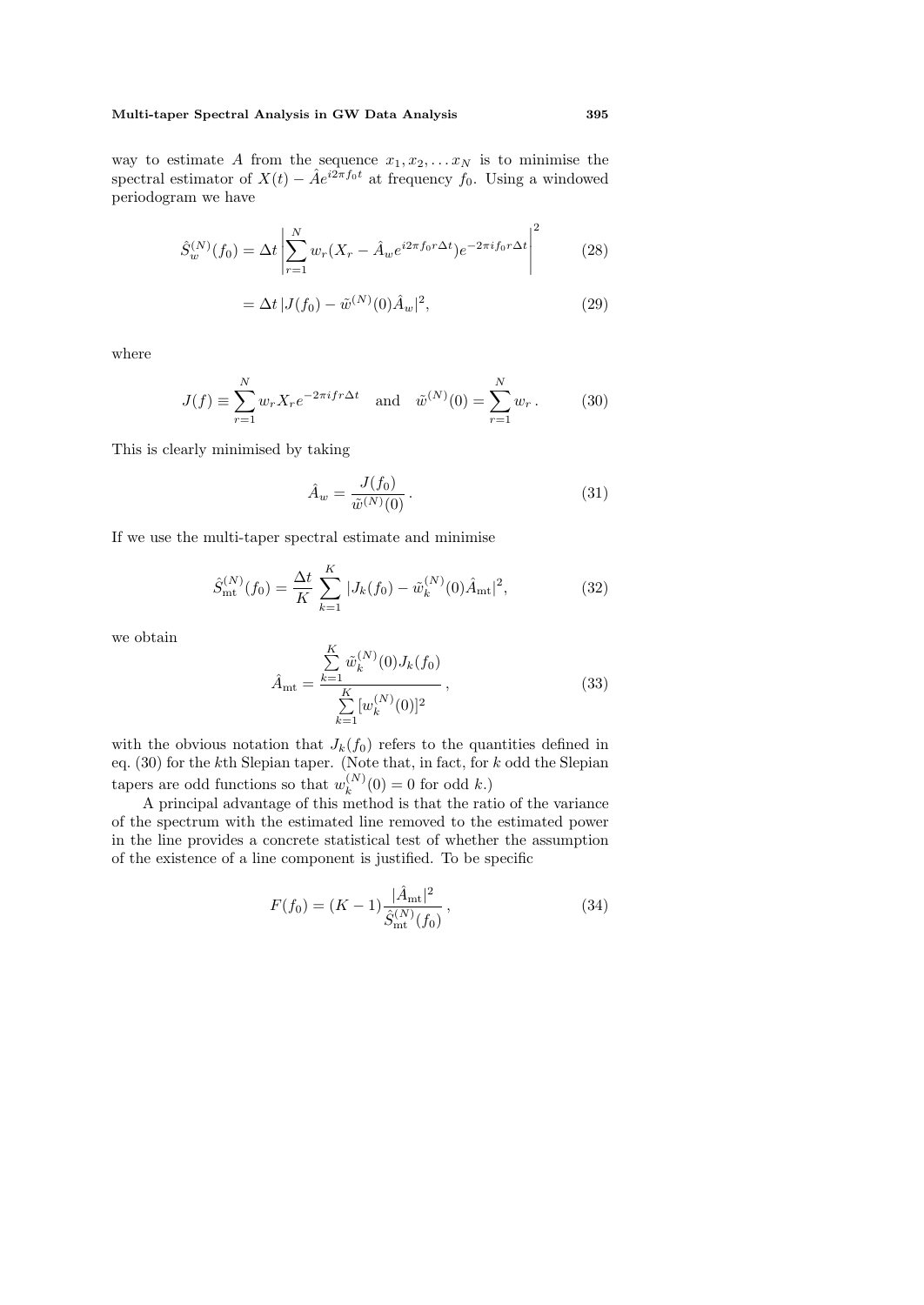#### **Multi-taper Spectral Analysis in GW Data Analysis 395**

way to estimate A from the sequence  $x_1, x_2, \ldots x_N$  is to minimise the spectral estimator of  $X(t) - \hat{A}e^{i2\pi f_0 t}$  at frequency  $f_0$ . Using a windowed periodogram we have

$$
\hat{S}_w^{(N)}(f_0) = \Delta t \left| \sum_{r=1}^N w_r (X_r - \hat{A}_w e^{i2\pi f_0 r \Delta t}) e^{-2\pi i f_0 r \Delta t} \right|^2 \tag{28}
$$

$$
= \Delta t |J(f_0) - \tilde{w}^{(N)}(0)\hat{A}_w|^2,
$$
\n(29)

where

$$
J(f) = \sum_{r=1}^{N} w_r X_r e^{-2\pi i f r \Delta t} \text{ and } \tilde{w}^{(N)}(0) = \sum_{r=1}^{N} w_r.
$$
 (30)

This is clearly minimised by taking

$$
\hat{A}_w = \frac{J(f_0)}{\tilde{w}^{(N)}(0)}.
$$
\n(31)

If we use the multi-taper spectral estimate and minimise

$$
\hat{S}_{\rm mt}^{(N)}(f_0) = \frac{\Delta t}{K} \sum_{k=1}^{K} |J_k(f_0) - \tilde{w}_k^{(N)}(0)\hat{A}_{\rm mt}|^2, \tag{32}
$$

we obtain

$$
\hat{A}_{\rm mt} = \frac{\sum_{k=1}^{K} \tilde{w}_k^{(N)}(0) J_k(f_0)}{\sum_{k=1}^{K} [w_k^{(N)}(0)]^2},
$$
\n(33)

with the obvious notation that  $J_k(f_0)$  refers to the quantities defined in eq. (30) for the kth Slepian taper. (Note that, in fact, for k odd the Slepian tapers are odd functions so that  $w_k^{(N)}(0) = 0$  for odd k.)

A principal advantage of this method is that the ratio of the variance of the spectrum with the estimated line removed to the estimated power in the line provides a concrete statistical test of whether the assumption of the existence of a line component is justified. To be specific

$$
F(f_0) = (K - 1) \frac{|\hat{A}_{\text{mt}}|^2}{\hat{S}_{\text{mt}}^{(N)}(f_0)},
$$
\n(34)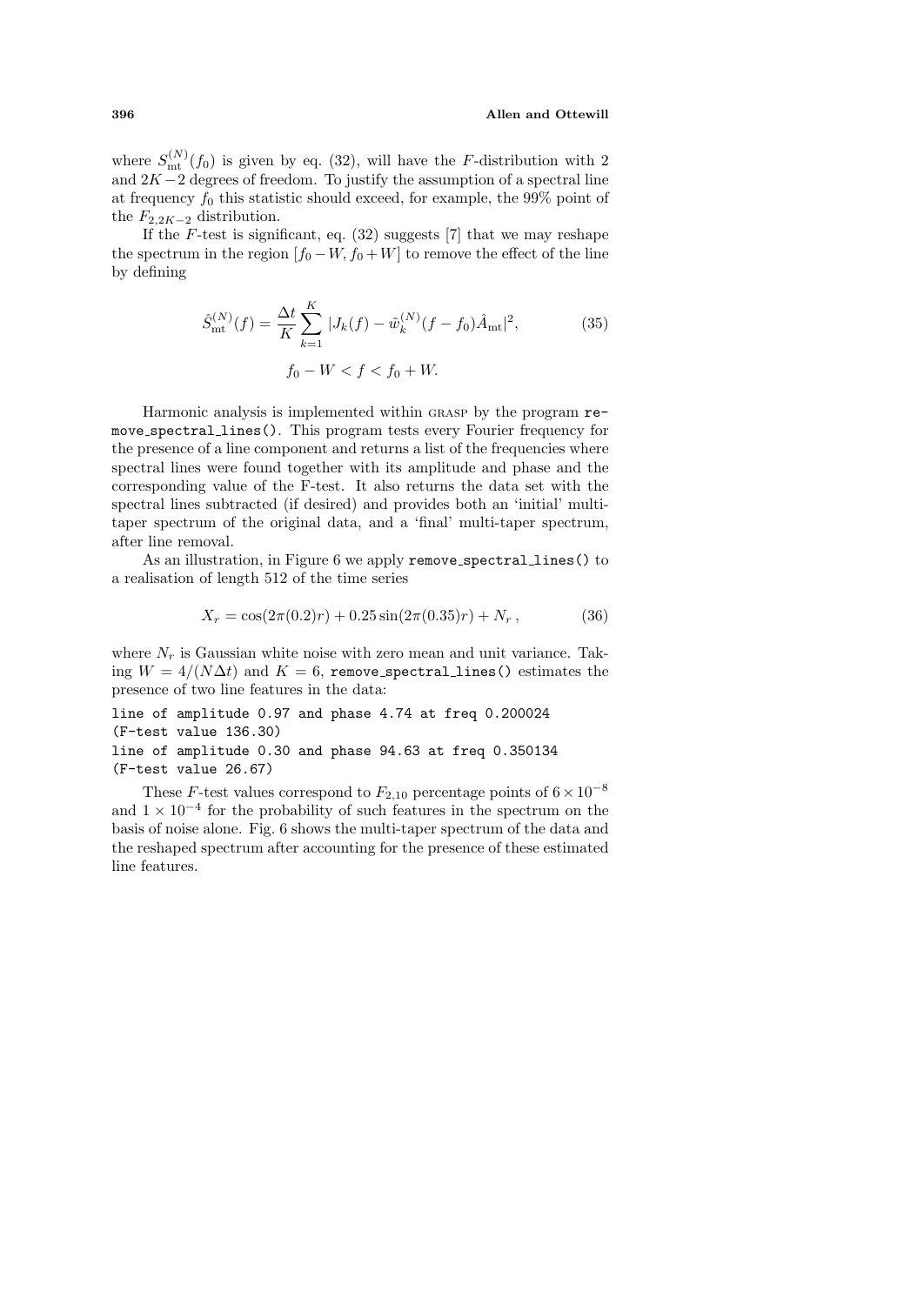#### **396 Allen and Ottewill**

where  $S_{\text{mt}}^{(N)}(f_0)$  is given by eq. (32), will have the *F*-distribution with 2 and  $2K-2$  degrees of freedom. To justify the assumption of a spectral line at frequency  $f_0$  this statistic should exceed, for example, the 99% point of the  $F_{2,2K-2}$  distribution.

If the F-test is significant, eq.  $(32)$  suggests [7] that we may reshape the spectrum in the region  $[f_0 - W, f_0 + W]$  to remove the effect of the line by defining

$$
\hat{S}_{\text{mt}}^{(N)}(f) = \frac{\Delta t}{K} \sum_{k=1}^{K} |J_k(f) - \tilde{w}_k^{(N)}(f - f_0)\hat{A}_{\text{mt}}|^2,
$$
\n
$$
f_0 - W < f < f_0 + W.
$$
\n(35)

Harmonic analysis is implemented within grasp by the program remove spectral lines(). This program tests every Fourier frequency for the presence of a line component and returns a list of the frequencies where spectral lines were found together with its amplitude and phase and the corresponding value of the F-test. It also returns the data set with the spectral lines subtracted (if desired) and provides both an 'initial' multitaper spectrum of the original data, and a 'final' multi-taper spectrum, after line removal.

As an illustration, in Figure 6 we apply remove spectral lines() to a realisation of length 512 of the time series

$$
X_r = \cos(2\pi(0.2)r) + 0.25\sin(2\pi(0.35)r) + N_r, \qquad (36)
$$

where  $N_r$  is Gaussian white noise with zero mean and unit variance. Taking  $W = 4/(N\Delta t)$  and  $K = 6$ , remove spectral lines () estimates the presence of two line features in the data:

line of amplitude 0.97 and phase 4.74 at freq 0.200024 (F-test value 136.30) line of amplitude 0.30 and phase 94.63 at freq 0.350134 (F-test value 26.67)

These F-test values correspond to  $F_{2,10}$  percentage points of  $6 \times 10^{-8}$ and  $1 \times 10^{-4}$  for the probability of such features in the spectrum on the basis of noise alone. Fig. 6 shows the multi-taper spectrum of the data and the reshaped spectrum after accounting for the presence of these estimated line features.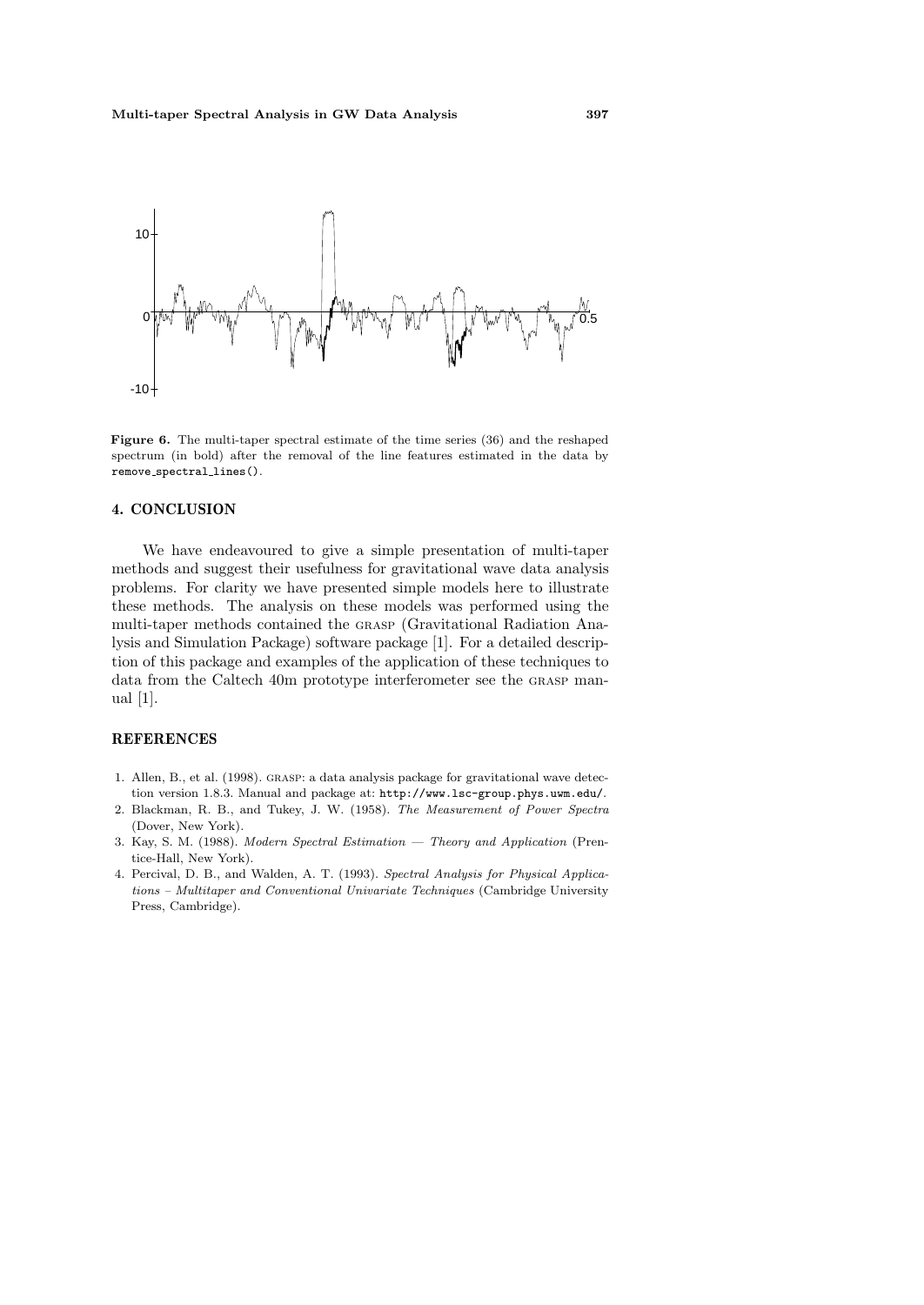

**Figure 6.** The multi-taper spectral estimate of the time series (36) and the reshaped spectrum (in bold) after the removal of the line features estimated in the data by remove spectral lines().

# **4. CONCLUSION**

We have endeavoured to give a simple presentation of multi-taper methods and suggest their usefulness for gravitational wave data analysis problems. For clarity we have presented simple models here to illustrate these methods. The analysis on these models was performed using the multi-taper methods contained the grasp (Gravitational Radiation Analysis and Simulation Package) software package [1]. For a detailed description of this package and examples of the application of these techniques to data from the Caltech 40m prototype interferometer see the grasp manual [1].

#### **REFERENCES**

- 1. Allen, B., et al. (1998). grasp: a data analysis package for gravitational wave detection version 1.8.3. Manual and package at: http://www.lsc-group.phys.uwm.edu/.
- 2. Blackman, R. B., and Tukey, J. W. (1958). The Measurement of Power Spectra (Dover, New York).
- 3. Kay, S. M. (1988). Modern Spectral Estimation Theory and Application (Prentice-Hall, New York).
- 4. Percival, D. B., and Walden, A. T. (1993). Spectral Analysis for Physical Applications – Multitaper and Conventional Univariate Techniques (Cambridge University Press, Cambridge).